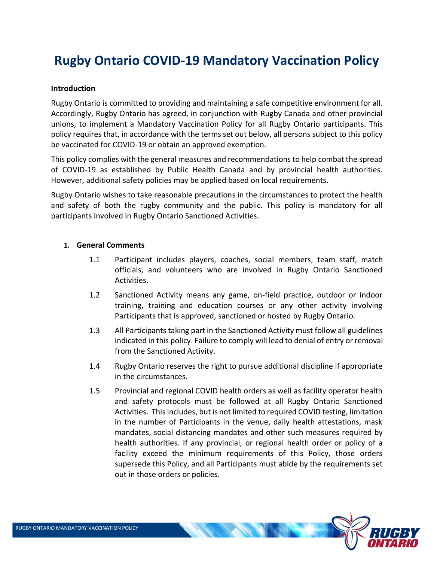# **Rugby Ontario COVID-19 Mandatory Vaccination Policy**

#### **Introduction**

Rugby Ontario is committed to providing and maintaining a safe competitive environment for all. Accordingly, Rugby Ontario has agreed, in conjunction with Rugby Canada and other provincial unions, to implement a Mandatory Vaccination Policy for all Rugby Ontario participants. This policy requires that, in accordance with the terms set out below, all persons subject to this policy be vaccinated for COVID-19 or obtain an approved exemption.

This policy complies with the general measures and recommendations to help combat the spread of COVID-19 as established by Public Health Canada and by provincial health authorities. However, additional safety policies may be applied based on local requirements.

Rugby Ontario wishes to take reasonable precautions in the circumstances to protect the health and safety of both the rugby community and the public. This policy is mandatory for all participants involved in Rugby Ontario Sanctioned Activities.

### **1. General Comments**

- 1.1 Participant includes players, coaches, social members, team staff, match officials, and volunteers who are involved in Rugby Ontario Sanctioned Activities.
- 1.2 Sanctioned Activity means any game, on-field practice, outdoor or indoor training, training and education courses or any other activity involving Participants that is approved, sanctioned or hosted by Rugby Ontario.
- 1.3 All Participants taking part in the Sanctioned Activity must follow all guidelines indicated in this policy. Failure to comply will lead to denial of entry or removal from the Sanctioned Activity.
- 1.4 Rugby Ontario reserves the right to pursue additional discipline if appropriate in the circumstances.
- 1.5 Provincial and regional COVID health orders as well as facility operator health and safety protocols must be followed at all Rugby Ontario Sanctioned Activities. This includes, but is not limited to required COVID testing, limitation in the number of Participants in the venue, daily health attestations, mask mandates, social distancing mandates and other such measures required by health authorities. If any provincial, or regional health order or policy of a facility exceed the minimum requirements of this Policy, those orders supersede this Policy, and all Participants must abide by the requirements set out in those orders or policies.

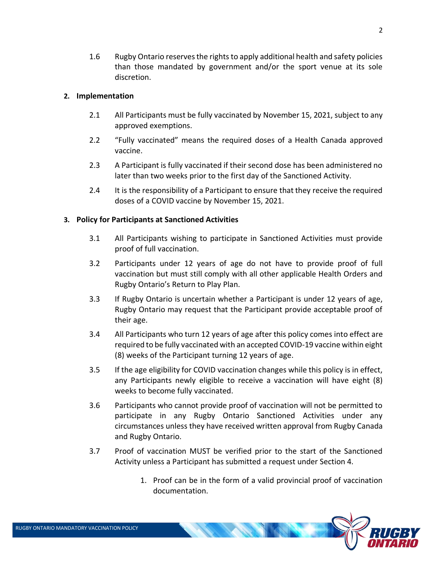1.6 Rugby Ontario reserves the rights to apply additional health and safety policies than those mandated by government and/or the sport venue at its sole discretion.

#### **2. Implementation**

- 2.1 All Participants must be fully vaccinated by November 15, 2021, subject to any approved exemptions.
- 2.2 "Fully vaccinated" means the required doses of a Health Canada approved vaccine.
- 2.3 A Participant is fully vaccinated if their second dose has been administered no later than two weeks prior to the first day of the Sanctioned Activity.
- 2.4 It is the responsibility of a Participant to ensure that they receive the required doses of a COVID vaccine by November 15, 2021.

#### **3. Policy for Participants at Sanctioned Activities**

- 3.1 All Participants wishing to participate in Sanctioned Activities must provide proof of full vaccination.
- 3.2 Participants under 12 years of age do not have to provide proof of full vaccination but must still comply with all other applicable Health Orders and Rugby Ontario's Return to Play Plan.
- 3.3 If Rugby Ontario is uncertain whether a Participant is under 12 years of age, Rugby Ontario may request that the Participant provide acceptable proof of their age.
- 3.4 All Participants who turn 12 years of age after this policy comes into effect are required to be fully vaccinated with an accepted COVID-19 vaccine within eight (8) weeks of the Participant turning 12 years of age.
- 3.5 If the age eligibility for COVID vaccination changes while this policy is in effect, any Participants newly eligible to receive a vaccination will have eight (8) weeks to become fully vaccinated.
- 3.6 Participants who cannot provide proof of vaccination will not be permitted to participate in any Rugby Ontario Sanctioned Activities under any circumstances unless they have received written approval from Rugby Canada and Rugby Ontario.
- 3.7 Proof of vaccination MUST be verified prior to the start of the Sanctioned Activity unless a Participant has submitted a request under Section 4.
	- 1. Proof can be in the form of a valid provincial proof of vaccination documentation.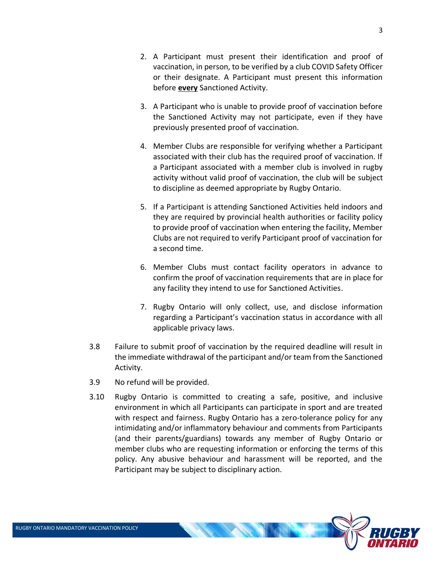- 2. A Participant must present their identification and proof of vaccination, in person, to be verified by a club COVID Safety Officer or their designate. A Participant must present this information before **every** Sanctioned Activity.
- 3. A Participant who is unable to provide proof of vaccination before the Sanctioned Activity may not participate, even if they have previously presented proof of vaccination.
- 4. Member Clubs are responsible for verifying whether a Participant associated with their club has the required proof of vaccination. If a Participant associated with a member club is involved in rugby activity without valid proof of vaccination, the club will be subject to discipline as deemed appropriate by Rugby Ontario.
- 5. If a Participant is attending Sanctioned Activities held indoors and they are required by provincial health authorities or facility policy to provide proof of vaccination when entering the facility, Member Clubs are not required to verify Participant proof of vaccination for a second time.
- 6. Member Clubs must contact facility operators in advance to confirm the proof of vaccination requirements that are in place for any facility they intend to use for Sanctioned Activities.
- 7. Rugby Ontario will only collect, use, and disclose information regarding a Participant's vaccination status in accordance with all applicable privacy laws.
- 3.8 Failure to submit proof of vaccination by the required deadline will result in the immediate withdrawal of the participant and/or team from the Sanctioned Activity.
- 3.9 No refund will be provided.
- 3.10 Rugby Ontario is committed to creating a safe, positive, and inclusive environment in which all Participants can participate in sport and are treated with respect and fairness. Rugby Ontario has a zero-tolerance policy for any intimidating and/or inflammatory behaviour and comments from Participants (and their parents/guardians) towards any member of Rugby Ontario or member clubs who are requesting information or enforcing the terms of this policy. Any abusive behaviour and harassment will be reported, and the Participant may be subject to disciplinary action.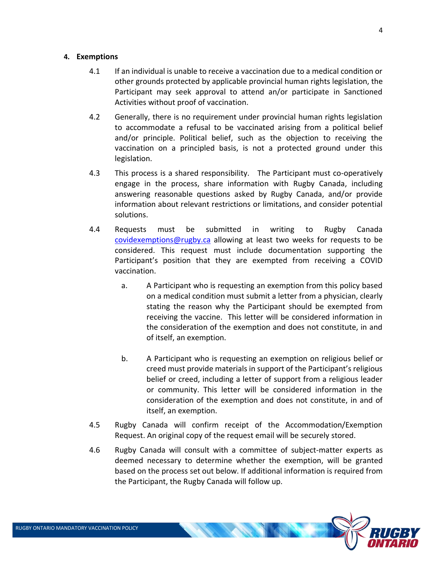#### **4. Exemptions**

- 4.1 If an individual is unable to receive a vaccination due to a medical condition or other grounds protected by applicable provincial human rights legislation, the Participant may seek approval to attend an/or participate in Sanctioned Activities without proof of vaccination.
- 4.2 Generally, there is no requirement under provincial human rights legislation to accommodate a refusal to be vaccinated arising from a political belief and/or principle. Political belief, such as the objection to receiving the vaccination on a principled basis, is not a protected ground under this legislation.
- 4.3 This process is a shared responsibility. The Participant must co-operatively engage in the process, share information with Rugby Canada, including answering reasonable questions asked by Rugby Canada, and/or provide information about relevant restrictions or limitations, and consider potential solutions.
- 4.4 Requests must be submitted in writing to Rugby Canada [covidexemptions@rugby.ca](mailto:covidexemptions@rugby.ca) allowing at least two weeks for requests to be considered. This request must include documentation supporting the Participant's position that they are exempted from receiving a COVID vaccination.
	- a. A Participant who is requesting an exemption from this policy based on a medical condition must submit a letter from a physician, clearly stating the reason why the Participant should be exempted from receiving the vaccine. This letter will be considered information in the consideration of the exemption and does not constitute, in and of itself, an exemption.
	- b. A Participant who is requesting an exemption on religious belief or creed must provide materials in support of the Participant's religious belief or creed, including a letter of support from a religious leader or community. This letter will be considered information in the consideration of the exemption and does not constitute, in and of itself, an exemption.
- 4.5 Rugby Canada will confirm receipt of the Accommodation/Exemption Request. An original copy of the request email will be securely stored.
- 4.6 Rugby Canada will consult with a committee of subject-matter experts as deemed necessary to determine whether the exemption, will be granted based on the process set out below. If additional information is required from the Participant, the Rugby Canada will follow up.